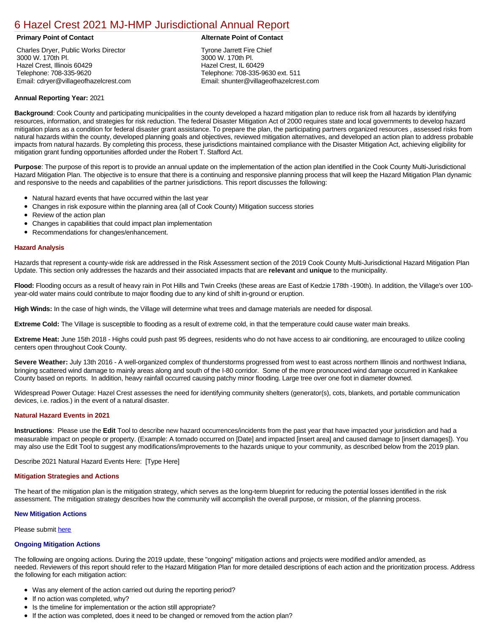## [6 Hazel Crest 2021 MJ-HMP Jurisdictional Annual Report](https://hazel.isc-cemp.com/Cemp/Details?id=8322837)

Charles Dryer, Public Works Director 3000 W. 170th Pl. Hazel Crest, Illinois 60429 Telephone: 708-335-9620 Email: cdryer@villageofhazelcrest.com

### **Primary Point of Contact Alternate Point of Contact**

Tyrone Jarrett Fire Chief 3000 W. 170th Pl. Hazel Crest, IL 60429 Telephone: 708-335-9630 ext. 511 Email: shunter@villageofhazelcrest.com

### **Annual Reporting Year:** 2021

**Background**: Cook County and participating municipalities in the county developed a hazard mitigation plan to reduce risk from all hazards by identifying resources, information, and strategies for risk reduction. The federal Disaster Mitigation Act of 2000 requires state and local governments to develop hazard mitigation plans as a condition for federal disaster grant assistance. To prepare the plan, the participating partners organized resources , assessed risks from natural hazards within the county, developed planning goals and objectives, reviewed mitigation alternatives, and developed an action plan to address probable impacts from natural hazards. By completing this process, these jurisdictions maintained compliance with the Disaster Mitigation Act, achieving eligibility for mitigation grant funding opportunities afforded under the Robert T. Stafford Act.

**Purpose**: The purpose of this report is to provide an annual update on the implementation of the action plan identified in the Cook County Multi-Jurisdictional Hazard Mitigation Plan. The objective is to ensure that there is a continuing and responsive planning process that will keep the Hazard Mitigation Plan dynamic and responsive to the needs and capabilities of the partner jurisdictions. This report discusses the following:

- Natural hazard events that have occurred within the last year
- $\bullet$ Changes in risk exposure within the planning area (all of Cook County) Mitigation success stories
- Review of the action plan  $\bullet$
- $\bullet$ Changes in capabilities that could impact plan implementation
- Recommendations for changes/enhancement.  $\bullet$

#### **Hazard Analysis**

Hazards that represent a county-wide risk are addressed in the Risk Assessment section of the 2019 Cook County Multi-Jurisdictional Hazard Mitigation Plan Update. This section only addresses the hazards and their associated impacts that are **relevant** and **unique** to the municipality.

Flood: Flooding occurs as a result of heavy rain in Pot Hills and Twin Creeks (these areas are East of Kedzie 178th -190th). In addition, the Village's over 100year-old water mains could contribute to major flooding due to any kind of shift in-ground or eruption.

**High Winds:** In the case of high winds, the Village will determine what trees and damage materials are needed for disposal.

**Extreme Cold:** The Village is susceptible to flooding as a result of extreme cold, in that the temperature could cause water main breaks.

**Extreme Heat:** June 15th 2018 - Highs could push past 95 degrees, residents who do not have access to air conditioning, are encouraged to utilize cooling centers open throughout Cook County.

**Severe Weather:** July 13th 2016 - A well-organized complex of thunderstorms progressed from west to east across northern Illinois and northwest Indiana, bringing scattered wind damage to mainly areas along and south of the I-80 corridor. Some of the more pronounced wind damage occurred in Kankakee County based on reports. In addition, heavy rainfall occurred causing patchy minor flooding. Large tree over one foot in diameter downed.

Widespread Power Outage: Hazel Crest assesses the need for identifying community shelters (generator(s), cots, blankets, and portable communication devices, i.e. radios.) in the event of a natural disaster.

### **Natural Hazard Events in 2021**

**Instructions**: Please use the **Edit** Tool to describe new hazard occurrences/incidents from the past year that have impacted your jurisdiction and had a measurable impact on people or property. (Example: A tornado occurred on [Date] and impacted [insert area] and caused damage to [insert damages]). You may also use the Edit Tool to suggest any modifications/improvements to the hazards unique to your community, as described below from the 2019 plan.

Describe 2021 Natural Hazard Events Here: [Type Here]

#### **Mitigation Strategies and Actions**

The heart of the mitigation plan is the mitigation strategy, which serves as the long-term blueprint for reducing the potential losses identified in the risk assessment. The mitigation strategy describes how the community will accomplish the overall purpose, or mission, of the planning process.

#### **New Mitigation Actions**

Please submit [here](https://integratedsolutions.wufoo.com/forms/mg21jvf0jn639o/)

#### **Ongoing Mitigation Actions**

The following are ongoing actions. During the 2019 update, these "ongoing" mitigation actions and projects were modified and/or amended, as needed. Reviewers of this report should refer to the Hazard Mitigation Plan for more detailed descriptions of each action and the prioritization process. Address the following for each mitigation action:

- Was any element of the action carried out during the reporting period?
- If no action was completed, why?
- **•** Is the timeline for implementation or the action still appropriate?
- If the action was completed, does it need to be changed or removed from the action plan?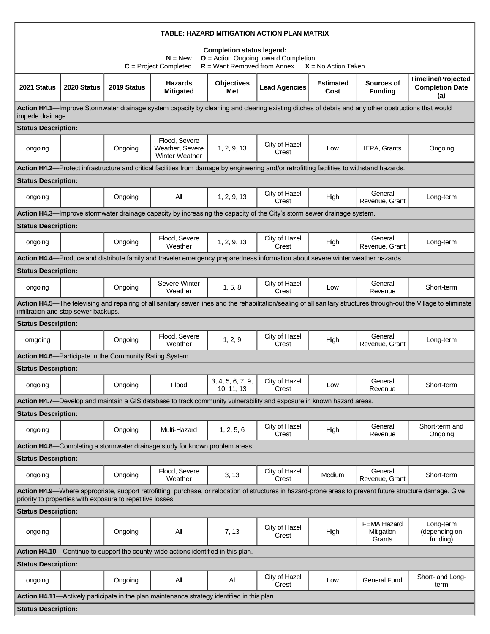| TABLE: HAZARD MITIGATION ACTION PLAN MATRIX                                                                                                                                                                             |                                      |             |                                                                                                                                                   |                                 |                        |                          |                                            |                                                                                                                                                                     |
|-------------------------------------------------------------------------------------------------------------------------------------------------------------------------------------------------------------------------|--------------------------------------|-------------|---------------------------------------------------------------------------------------------------------------------------------------------------|---------------------------------|------------------------|--------------------------|--------------------------------------------|---------------------------------------------------------------------------------------------------------------------------------------------------------------------|
| <b>Completion status legend:</b><br>$O =$ Action Ongoing toward Completion<br>$N = New$<br>$R =$ Want Removed from Annex<br>$C = Project Completed$<br>$X = No$ Action Taken                                            |                                      |             |                                                                                                                                                   |                                 |                        |                          |                                            |                                                                                                                                                                     |
| 2021 Status                                                                                                                                                                                                             | 2020 Status                          | 2019 Status | <b>Hazards</b><br><b>Mitigated</b>                                                                                                                | <b>Objectives</b><br>Met        | <b>Lead Agencies</b>   | <b>Estimated</b><br>Cost | Sources of<br><b>Funding</b>               | <b>Timeline/Projected</b><br><b>Completion Date</b><br>(a)                                                                                                          |
| impede drainage.                                                                                                                                                                                                        |                                      |             | Action H4.1—Improve Stormwater drainage system capacity by cleaning and clearing existing ditches of debris and any other obstructions that would |                                 |                        |                          |                                            |                                                                                                                                                                     |
| <b>Status Description:</b>                                                                                                                                                                                              |                                      |             |                                                                                                                                                   |                                 |                        |                          |                                            |                                                                                                                                                                     |
| ongoing                                                                                                                                                                                                                 |                                      | Ongoing     | Flood, Severe<br>Weather, Severe<br><b>Winter Weather</b>                                                                                         | 1, 2, 9, 13                     | City of Hazel<br>Crest | Low                      | IEPA, Grants                               | Ongoing                                                                                                                                                             |
|                                                                                                                                                                                                                         |                                      |             | Action H4.2—Protect infrastructure and critical facilities from damage by engineering and/or retrofitting facilities to withstand hazards.        |                                 |                        |                          |                                            |                                                                                                                                                                     |
| <b>Status Description:</b>                                                                                                                                                                                              |                                      |             |                                                                                                                                                   |                                 |                        |                          |                                            |                                                                                                                                                                     |
| ongoing                                                                                                                                                                                                                 |                                      | Ongoing     | All                                                                                                                                               | 1, 2, 9, 13                     | City of Hazel<br>Crest | High                     | General<br>Revenue, Grant                  | Long-term                                                                                                                                                           |
|                                                                                                                                                                                                                         |                                      |             | Action H4.3—Improve stormwater drainage capacity by increasing the capacity of the City's storm sewer drainage system.                            |                                 |                        |                          |                                            |                                                                                                                                                                     |
| <b>Status Description:</b>                                                                                                                                                                                              |                                      |             |                                                                                                                                                   |                                 |                        |                          |                                            |                                                                                                                                                                     |
| ongoing                                                                                                                                                                                                                 |                                      | Ongoing     | Flood, Severe<br>Weather                                                                                                                          | 1, 2, 9, 13                     | City of Hazel<br>Crest | High                     | General<br>Revenue, Grant                  | Long-term                                                                                                                                                           |
|                                                                                                                                                                                                                         |                                      |             | Action H4.4—Produce and distribute family and traveler emergency preparedness information about severe winter weather hazards.                    |                                 |                        |                          |                                            |                                                                                                                                                                     |
| <b>Status Description:</b>                                                                                                                                                                                              |                                      |             |                                                                                                                                                   |                                 |                        |                          |                                            |                                                                                                                                                                     |
| ongoing                                                                                                                                                                                                                 |                                      | Ongoing     | Severe Winter<br>Weather                                                                                                                          | 1, 5, 8                         | City of Hazel<br>Crest | Low                      | General<br>Revenue                         | Short-term                                                                                                                                                          |
|                                                                                                                                                                                                                         | infiltration and stop sewer backups. |             |                                                                                                                                                   |                                 |                        |                          |                                            | Action H4.5—The televising and repairing of all sanitary sewer lines and the rehabilitation/sealing of all sanitary structures through-out the Village to eliminate |
| <b>Status Description:</b>                                                                                                                                                                                              |                                      |             |                                                                                                                                                   |                                 |                        |                          |                                            |                                                                                                                                                                     |
| omgoing                                                                                                                                                                                                                 |                                      | Ongoing     | Flood, Severe<br>Weather                                                                                                                          | 1, 2, 9                         | City of Hazel<br>Crest | High                     | General<br>Revenue, Grant                  | Long-term                                                                                                                                                           |
| Action H4.6—Participate in the Community Rating System.                                                                                                                                                                 |                                      |             |                                                                                                                                                   |                                 |                        |                          |                                            |                                                                                                                                                                     |
| <b>Status Description:</b>                                                                                                                                                                                              |                                      |             |                                                                                                                                                   |                                 |                        |                          |                                            |                                                                                                                                                                     |
| ongoing                                                                                                                                                                                                                 |                                      | Ongoing     | Flood                                                                                                                                             | 3, 4, 5, 6, 7, 9,<br>10, 11, 13 | City of Hazel<br>Crest | Low                      | General<br>Revenue                         | Short-term                                                                                                                                                          |
| Action H4.7—Develop and maintain a GIS database to track community vulnerability and exposure in known hazard areas.                                                                                                    |                                      |             |                                                                                                                                                   |                                 |                        |                          |                                            |                                                                                                                                                                     |
| <b>Status Description:</b>                                                                                                                                                                                              |                                      |             |                                                                                                                                                   |                                 |                        |                          |                                            |                                                                                                                                                                     |
| ongoing                                                                                                                                                                                                                 |                                      | Ongoing     | Multi-Hazard                                                                                                                                      | 1, 2, 5, 6                      | City of Hazel<br>Crest | High                     | General<br>Revenue                         | Short-term and<br>Ongoing                                                                                                                                           |
|                                                                                                                                                                                                                         |                                      |             | Action H4.8—Completing a stormwater drainage study for known problem areas.                                                                       |                                 |                        |                          |                                            |                                                                                                                                                                     |
| <b>Status Description:</b>                                                                                                                                                                                              |                                      |             |                                                                                                                                                   |                                 |                        |                          |                                            |                                                                                                                                                                     |
| ongoing                                                                                                                                                                                                                 |                                      | Ongoing     | Flood, Severe<br>Weather                                                                                                                          | 3, 13                           | City of Hazel<br>Crest | Medium                   | General<br>Revenue, Grant                  | Short-term                                                                                                                                                          |
| Action H4.9-Where appropriate, support retrofitting, purchase, or relocation of structures in hazard-prone areas to prevent future structure damage. Give<br>priority to properties with exposure to repetitive losses. |                                      |             |                                                                                                                                                   |                                 |                        |                          |                                            |                                                                                                                                                                     |
| <b>Status Description:</b>                                                                                                                                                                                              |                                      |             |                                                                                                                                                   |                                 |                        |                          |                                            |                                                                                                                                                                     |
| ongoing                                                                                                                                                                                                                 |                                      | Ongoing     | All                                                                                                                                               | 7, 13                           | City of Hazel<br>Crest | High                     | <b>FEMA Hazard</b><br>Mitigation<br>Grants | Long-term<br>(depending on<br>funding)                                                                                                                              |
| Action H4.10-Continue to support the county-wide actions identified in this plan.                                                                                                                                       |                                      |             |                                                                                                                                                   |                                 |                        |                          |                                            |                                                                                                                                                                     |
| <b>Status Description:</b>                                                                                                                                                                                              |                                      |             |                                                                                                                                                   |                                 |                        |                          |                                            |                                                                                                                                                                     |
| ongoing                                                                                                                                                                                                                 |                                      | Ongoing     | All                                                                                                                                               | All                             | City of Hazel<br>Crest | Low                      | General Fund                               | Short- and Long-<br>term                                                                                                                                            |
|                                                                                                                                                                                                                         |                                      |             | Action H4.11—Actively participate in the plan maintenance strategy identified in this plan.                                                       |                                 |                        |                          |                                            |                                                                                                                                                                     |
| <b>Status Description:</b>                                                                                                                                                                                              |                                      |             |                                                                                                                                                   |                                 |                        |                          |                                            |                                                                                                                                                                     |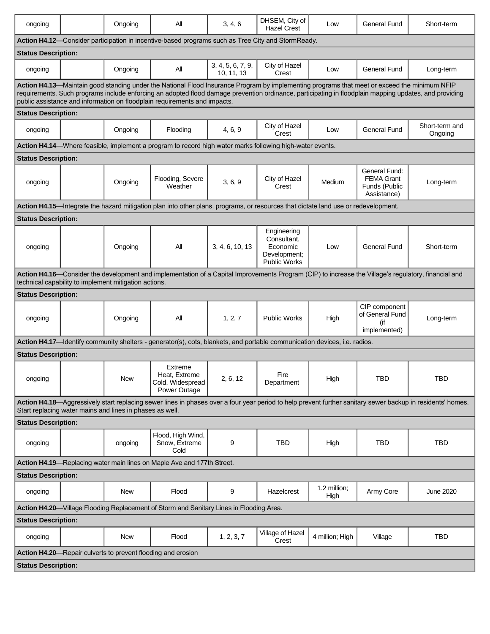| ongoing                                                                                                                                                                                                                                                                                                                                                                             |  | Ongoing                                               | Αll                                                                                                                                                  | 3, 4, 6                         | DHSEM, City of<br><b>Hazel Crest</b>                                          | Low                  | <b>General Fund</b>                                                | Short-term                |
|-------------------------------------------------------------------------------------------------------------------------------------------------------------------------------------------------------------------------------------------------------------------------------------------------------------------------------------------------------------------------------------|--|-------------------------------------------------------|------------------------------------------------------------------------------------------------------------------------------------------------------|---------------------------------|-------------------------------------------------------------------------------|----------------------|--------------------------------------------------------------------|---------------------------|
|                                                                                                                                                                                                                                                                                                                                                                                     |  |                                                       | Action H4.12—Consider participation in incentive-based programs such as Tree City and StormReady.                                                    |                                 |                                                                               |                      |                                                                    |                           |
| <b>Status Description:</b>                                                                                                                                                                                                                                                                                                                                                          |  |                                                       |                                                                                                                                                      |                                 |                                                                               |                      |                                                                    |                           |
| ongoing                                                                                                                                                                                                                                                                                                                                                                             |  | Ongoing                                               | All                                                                                                                                                  | 3, 4, 5, 6, 7, 9,<br>10, 11, 13 | City of Hazel<br>Crest                                                        | Low                  | <b>General Fund</b>                                                | Long-term                 |
| Action H4.13-Maintain good standing under the National Flood Insurance Program by implementing programs that meet or exceed the minimum NFIP<br>requirements. Such programs include enforcing an adopted flood damage prevention ordinance, participating in floodplain mapping updates, and providing<br>public assistance and information on floodplain requirements and impacts. |  |                                                       |                                                                                                                                                      |                                 |                                                                               |                      |                                                                    |                           |
| <b>Status Description:</b>                                                                                                                                                                                                                                                                                                                                                          |  |                                                       |                                                                                                                                                      |                                 |                                                                               |                      |                                                                    |                           |
| ongoing                                                                                                                                                                                                                                                                                                                                                                             |  | Ongoing                                               | Flooding                                                                                                                                             | 4, 6, 9                         | City of Hazel<br>Crest                                                        | Low                  | <b>General Fund</b>                                                | Short-term and<br>Ongoing |
|                                                                                                                                                                                                                                                                                                                                                                                     |  |                                                       | Action H4.14—Where feasible, implement a program to record high water marks following high-water events.                                             |                                 |                                                                               |                      |                                                                    |                           |
| <b>Status Description:</b>                                                                                                                                                                                                                                                                                                                                                          |  |                                                       |                                                                                                                                                      |                                 |                                                                               |                      |                                                                    |                           |
| ongoing                                                                                                                                                                                                                                                                                                                                                                             |  | Ongoing                                               | Flooding, Severe<br>Weather                                                                                                                          | 3, 6, 9                         | City of Hazel<br>Crest                                                        | Medium               | General Fund:<br><b>FEMA Grant</b><br>Funds (Public<br>Assistance) | Long-term                 |
|                                                                                                                                                                                                                                                                                                                                                                                     |  |                                                       | Action H4.15—Integrate the hazard mitigation plan into other plans, programs, or resources that dictate land use or redevelopment.                   |                                 |                                                                               |                      |                                                                    |                           |
| <b>Status Description:</b>                                                                                                                                                                                                                                                                                                                                                          |  |                                                       |                                                                                                                                                      |                                 |                                                                               |                      |                                                                    |                           |
| ongoing                                                                                                                                                                                                                                                                                                                                                                             |  | Ongoing                                               | All                                                                                                                                                  | 3, 4, 6, 10, 13                 | Engineering<br>Consultant.<br>Economic<br>Development;<br><b>Public Works</b> | Low                  | <b>General Fund</b>                                                | Short-term                |
|                                                                                                                                                                                                                                                                                                                                                                                     |  |                                                       | Action H4.16—Consider the development and implementation of a Capital Improvements Program (CIP) to increase the Village's regulatory, financial and |                                 |                                                                               |                      |                                                                    |                           |
|                                                                                                                                                                                                                                                                                                                                                                                     |  | technical capability to implement mitigation actions. |                                                                                                                                                      |                                 |                                                                               |                      |                                                                    |                           |
| <b>Status Description:</b>                                                                                                                                                                                                                                                                                                                                                          |  |                                                       |                                                                                                                                                      |                                 |                                                                               |                      |                                                                    |                           |
| ongoing                                                                                                                                                                                                                                                                                                                                                                             |  | Ongoing                                               | All                                                                                                                                                  | 1, 2, 7                         | <b>Public Works</b>                                                           | High                 | CIP component<br>of General Fund<br>(if<br>implemented)            | Long-term                 |
|                                                                                                                                                                                                                                                                                                                                                                                     |  |                                                       | Action H4.17—Identify community shelters - generator(s), cots, blankets, and portable communication devices, i.e. radios.                            |                                 |                                                                               |                      |                                                                    |                           |
| <b>Status Description:</b>                                                                                                                                                                                                                                                                                                                                                          |  |                                                       |                                                                                                                                                      |                                 |                                                                               |                      |                                                                    |                           |
| ongoing                                                                                                                                                                                                                                                                                                                                                                             |  | New                                                   | Extreme<br>Heat, Extreme<br>Cold, Widespread<br>Power Outage                                                                                         | 2, 6, 12                        | Fire<br>Department                                                            | High                 | <b>TBD</b>                                                         | <b>TBD</b>                |
| Action H4.18-Aggressively start replacing sewer lines in phases over a four year period to help prevent further sanitary sewer backup in residents' homes.<br>Start replacing water mains and lines in phases as well.                                                                                                                                                              |  |                                                       |                                                                                                                                                      |                                 |                                                                               |                      |                                                                    |                           |
| <b>Status Description:</b>                                                                                                                                                                                                                                                                                                                                                          |  |                                                       |                                                                                                                                                      |                                 |                                                                               |                      |                                                                    |                           |
| ongoing                                                                                                                                                                                                                                                                                                                                                                             |  | ongoing                                               | Flood, High Wind,<br>Snow, Extreme<br>Cold                                                                                                           | 9                               | <b>TBD</b>                                                                    | High                 | <b>TBD</b>                                                         | TBD                       |
| Action H4.19-Replacing water main lines on Maple Ave and 177th Street.                                                                                                                                                                                                                                                                                                              |  |                                                       |                                                                                                                                                      |                                 |                                                                               |                      |                                                                    |                           |
| <b>Status Description:</b>                                                                                                                                                                                                                                                                                                                                                          |  |                                                       |                                                                                                                                                      |                                 |                                                                               |                      |                                                                    |                           |
| ongoing                                                                                                                                                                                                                                                                                                                                                                             |  | New                                                   | Flood                                                                                                                                                | 9                               | Hazelcrest                                                                    | 1.2 million;<br>High | Army Core                                                          | June 2020                 |
| Action H4.20—Village Flooding Replacement of Storm and Sanitary Lines in Flooding Area.                                                                                                                                                                                                                                                                                             |  |                                                       |                                                                                                                                                      |                                 |                                                                               |                      |                                                                    |                           |
| <b>Status Description:</b>                                                                                                                                                                                                                                                                                                                                                          |  |                                                       |                                                                                                                                                      |                                 |                                                                               |                      |                                                                    |                           |
| ongoing                                                                                                                                                                                                                                                                                                                                                                             |  | New                                                   | Flood                                                                                                                                                | 1, 2, 3, 7                      | Village of Hazel<br>Crest                                                     | 4 million; High      | Village                                                            | TBD                       |
| Action H4.20-Repair culverts to prevent flooding and erosion                                                                                                                                                                                                                                                                                                                        |  |                                                       |                                                                                                                                                      |                                 |                                                                               |                      |                                                                    |                           |
| <b>Status Description:</b>                                                                                                                                                                                                                                                                                                                                                          |  |                                                       |                                                                                                                                                      |                                 |                                                                               |                      |                                                                    |                           |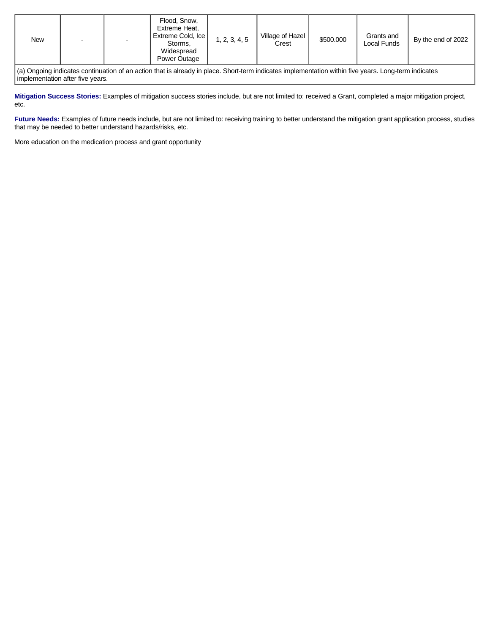| Extreme Cold, Ice<br>Village of Hazel<br>Grants and<br>1, 2, 3, 4, 5<br>\$500.000<br>New<br>By the end of 2022<br>$\overline{\phantom{0}}$<br>Local Funds<br>Crest<br>Storms,<br>Widespread<br>Power Outage | Flood, Snow,<br>Extreme Heat, |
|-------------------------------------------------------------------------------------------------------------------------------------------------------------------------------------------------------------|-------------------------------|
|-------------------------------------------------------------------------------------------------------------------------------------------------------------------------------------------------------------|-------------------------------|

(a) Ongoing indicates continuation of an action that is already in place. Short-term indicates implementation within five years. Long-term indicates implementation after five years.

**Mitigation Success Stories:** Examples of mitigation success stories include, but are not limited to: received a Grant, completed a major mitigation project, etc.

Future Needs: Examples of future needs include, but are not limited to: receiving training to better understand the mitigation grant application process, studies that may be needed to better understand hazards/risks, etc.

More education on the medication process and grant opportunity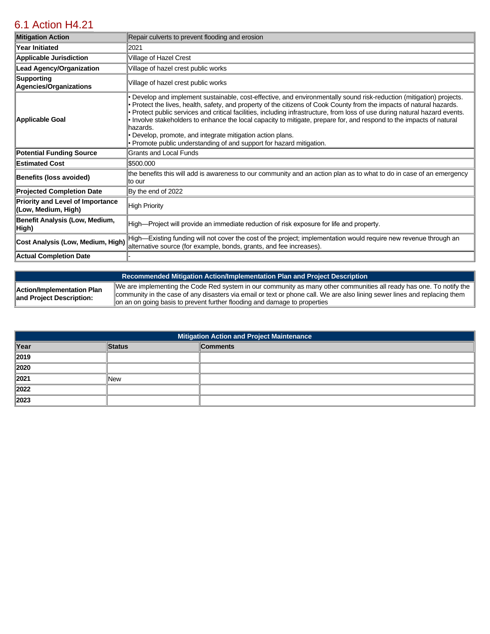# [6.1 Action H4.21](https://hazel.isc-cemp.com/Cemp/Details?id=8337066)

| <b>Mitigation Action</b>                                       | Repair culverts to prevent flooding and erosion                                                                                                                                                                                                                                                                                                                                                                                                                                                                                                                                                                                                        |
|----------------------------------------------------------------|--------------------------------------------------------------------------------------------------------------------------------------------------------------------------------------------------------------------------------------------------------------------------------------------------------------------------------------------------------------------------------------------------------------------------------------------------------------------------------------------------------------------------------------------------------------------------------------------------------------------------------------------------------|
| Year Initiated                                                 | 2021                                                                                                                                                                                                                                                                                                                                                                                                                                                                                                                                                                                                                                                   |
| <b>Applicable Jurisdiction</b>                                 | Village of Hazel Crest                                                                                                                                                                                                                                                                                                                                                                                                                                                                                                                                                                                                                                 |
| <b>Lead Agency/Organization</b>                                | Village of hazel crest public works                                                                                                                                                                                                                                                                                                                                                                                                                                                                                                                                                                                                                    |
| Supporting<br>Agencies/Organizations                           | Village of hazel crest public works                                                                                                                                                                                                                                                                                                                                                                                                                                                                                                                                                                                                                    |
| Applicable Goal                                                | • Develop and implement sustainable, cost-effective, and environmentally sound risk-reduction (mitigation) projects.<br>• Protect the lives, health, safety, and property of the citizens of Cook County from the impacts of natural hazards.<br>• Protect public services and critical facilities, including infrastructure, from loss of use during natural hazard events.<br>· Involve stakeholders to enhance the local capacity to mitigate, prepare for, and respond to the impacts of natural<br>hazards.<br>• Develop, promote, and integrate mitigation action plans.<br>• Promote public understanding of and support for hazard mitigation. |
| <b>Potential Funding Source</b>                                | Grants and Local Funds                                                                                                                                                                                                                                                                                                                                                                                                                                                                                                                                                                                                                                 |
| <b>Estimated Cost</b>                                          | \$500.000                                                                                                                                                                                                                                                                                                                                                                                                                                                                                                                                                                                                                                              |
| <b>Benefits (loss avoided)</b>                                 | the benefits this will add is awareness to our community and an action plan as to what to do in case of an emergency<br>lto our                                                                                                                                                                                                                                                                                                                                                                                                                                                                                                                        |
| <b>Projected Completion Date</b>                               | By the end of 2022                                                                                                                                                                                                                                                                                                                                                                                                                                                                                                                                                                                                                                     |
| <b>Priority and Level of Importance</b><br>(Low, Medium, High) | High Priority                                                                                                                                                                                                                                                                                                                                                                                                                                                                                                                                                                                                                                          |
| Benefit Analysis (Low, Medium,<br>High)                        | High—Project will provide an immediate reduction of risk exposure for life and property.                                                                                                                                                                                                                                                                                                                                                                                                                                                                                                                                                               |
| Cost Analysis (Low, Medium, High)                              | High—Existing funding will not cover the cost of the project; implementation would require new revenue through an<br>alternative source (for example, bonds, grants, and fee increases).                                                                                                                                                                                                                                                                                                                                                                                                                                                               |
| <b>Actual Completion Date</b>                                  |                                                                                                                                                                                                                                                                                                                                                                                                                                                                                                                                                                                                                                                        |

|                                                        | Recommended Mitigation Action/Implementation Plan and Project Description                                                                                                                                                                                                                                                     |
|--------------------------------------------------------|-------------------------------------------------------------------------------------------------------------------------------------------------------------------------------------------------------------------------------------------------------------------------------------------------------------------------------|
| Action/Implementation Plan<br>and Project Description: | We are implementing the Code Red system in our community as many other communities all ready has one. To notify the<br>community in the case of any disasters via email or text or phone call. We are also lining sewer lines and replacing them<br>on an on going basis to prevent further flooding and damage to properties |

| <b>Mitigation Action and Project Maintenance</b> |               |                 |  |
|--------------------------------------------------|---------------|-----------------|--|
| Year                                             | <b>Status</b> | <b>Comments</b> |  |
| 2019                                             |               |                 |  |
| 2020                                             |               |                 |  |
| 2021                                             | <b>New</b>    |                 |  |
| 2022                                             |               |                 |  |
| 2023                                             |               |                 |  |